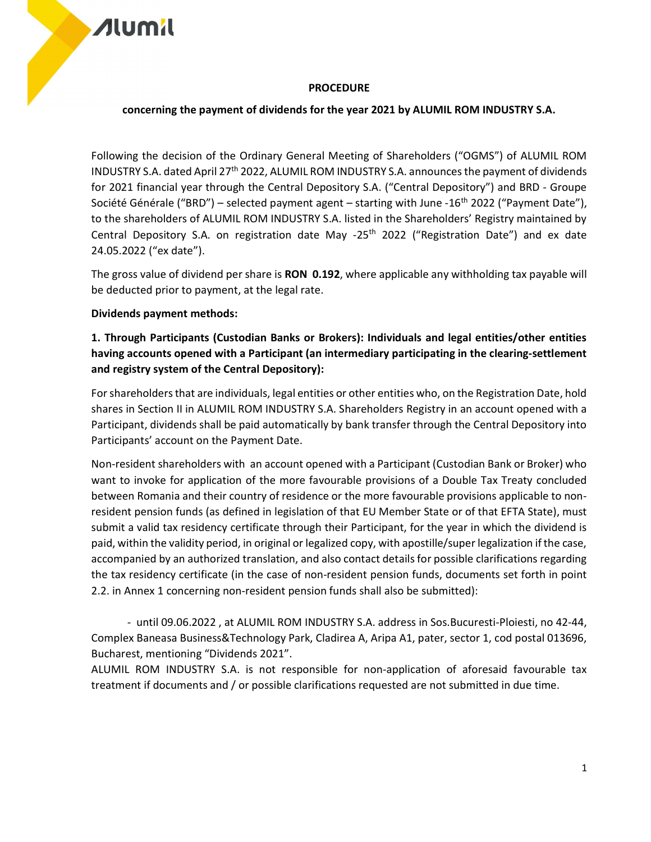## **PROCEDURE**

## concerning the payment of dividends for the year 2021 by ALUMIL ROM INDUSTRY S.A.

Following the decision of the Ordinary General Meeting of Shareholders ("OGMS") of ALUMIL ROM INDUSTRY S.A. dated April 27th 2022, ALUMIL ROM INDUSTRY S.A. announces the payment of dividends for 2021 financial year through the Central Depository S.A. ("Central Depository") and BRD - Groupe Société Générale ("BRD") – selected payment agent – starting with June -16<sup>th</sup> 2022 ("Payment Date"), to the shareholders of ALUMIL ROM INDUSTRY S.A. listed in the Shareholders' Registry maintained by Central Depository S.A. on registration date May -25<sup>th</sup> 2022 ("Registration Date") and ex date 24.05.2022 ("ex date").

The gross value of dividend per share is RON 0.192, where applicable any withholding tax payable will be deducted prior to payment, at the legal rate.

### Dividends payment methods:

1. Through Participants (Custodian Banks or Brokers): Individuals and legal entities/other entities having accounts opened with a Participant (an intermediary participating in the clearing-settlement and registry system of the Central Depository):

For shareholders that are individuals, legal entities or other entities who, on the Registration Date, hold shares in Section II in ALUMIL ROM INDUSTRY S.A. Shareholders Registry in an account opened with a Participant, dividends shall be paid automatically by bank transfer through the Central Depository into Participants' account on the Payment Date.

Non-resident shareholders with an account opened with a Participant (Custodian Bank or Broker) who want to invoke for application of the more favourable provisions of a Double Tax Treaty concluded between Romania and their country of residence or the more favourable provisions applicable to nonresident pension funds (as defined in legislation of that EU Member State or of that EFTA State), must submit a valid tax residency certificate through their Participant, for the year in which the dividend is paid, within the validity period, in original or legalized copy, with apostille/super legalization if the case, accompanied by an authorized translation, and also contact details for possible clarifications regarding the tax residency certificate (in the case of non-resident pension funds, documents set forth in point 2.2. in Annex 1 concerning non-resident pension funds shall also be submitted):

- until 09.06.2022 , at ALUMIL ROM INDUSTRY S.A. address in Sos.Bucuresti-Ploiesti, no 42-44, Complex Baneasa Business&Technology Park, Cladirea A, Aripa A1, pater, sector 1, cod postal 013696, Bucharest, mentioning "Dividends 2021".

ALUMIL ROM INDUSTRY S.A. is not responsible for non-application of aforesaid favourable tax treatment if documents and / or possible clarifications requested are not submitted in due time.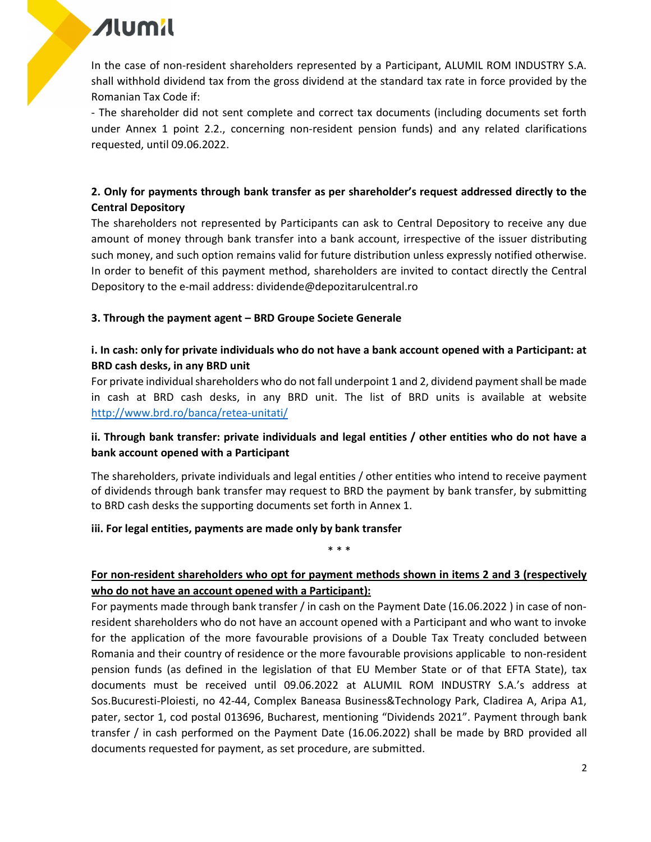

In the case of non-resident shareholders represented by a Participant, ALUMIL ROM INDUSTRY S.A. shall withhold dividend tax from the gross dividend at the standard tax rate in force provided by the Romanian Tax Code if:

- The shareholder did not sent complete and correct tax documents (including documents set forth under Annex 1 point 2.2., concerning non-resident pension funds) and any related clarifications requested, until 09.06.2022.

## 2. Only for payments through bank transfer as per shareholder's request addressed directly to the Central Depository

The shareholders not represented by Participants can ask to Central Depository to receive any due amount of money through bank transfer into a bank account, irrespective of the issuer distributing such money, and such option remains valid for future distribution unless expressly notified otherwise. In order to benefit of this payment method, shareholders are invited to contact directly the Central Depository to the e-mail address: dividende@depozitarulcentral.ro

## 3. Through the payment agent – BRD Groupe Societe Generale

## i. In cash: only for private individuals who do not have a bank account opened with a Participant: at BRD cash desks, in any BRD unit

For private individual shareholders who do not fall underpoint 1 and 2, dividend payment shall be made in cash at BRD cash desks, in any BRD unit. The list of BRD units is available at website http://www.brd.ro/banca/retea-unitati/

## ii. Through bank transfer: private individuals and legal entities / other entities who do not have a bank account opened with a Participant

The shareholders, private individuals and legal entities / other entities who intend to receive payment of dividends through bank transfer may request to BRD the payment by bank transfer, by submitting to BRD cash desks the supporting documents set forth in Annex 1.

## iii. For legal entities, payments are made only by bank transfer

## For non-resident shareholders who opt for payment methods shown in items 2 and 3 (respectively who do not have an account opened with a Participant):

\* \* \*

For payments made through bank transfer / in cash on the Payment Date (16.06.2022 ) in case of nonresident shareholders who do not have an account opened with a Participant and who want to invoke for the application of the more favourable provisions of a Double Tax Treaty concluded between Romania and their country of residence or the more favourable provisions applicable to non-resident pension funds (as defined in the legislation of that EU Member State or of that EFTA State), tax documents must be received until 09.06.2022 at ALUMIL ROM INDUSTRY S.A.'s address at Sos.Bucuresti-Ploiesti, no 42-44, Complex Baneasa Business&Technology Park, Cladirea A, Aripa A1, pater, sector 1, cod postal 013696, Bucharest, mentioning "Dividends 2021". Payment through bank transfer / in cash performed on the Payment Date (16.06.2022) shall be made by BRD provided all documents requested for payment, as set procedure, are submitted.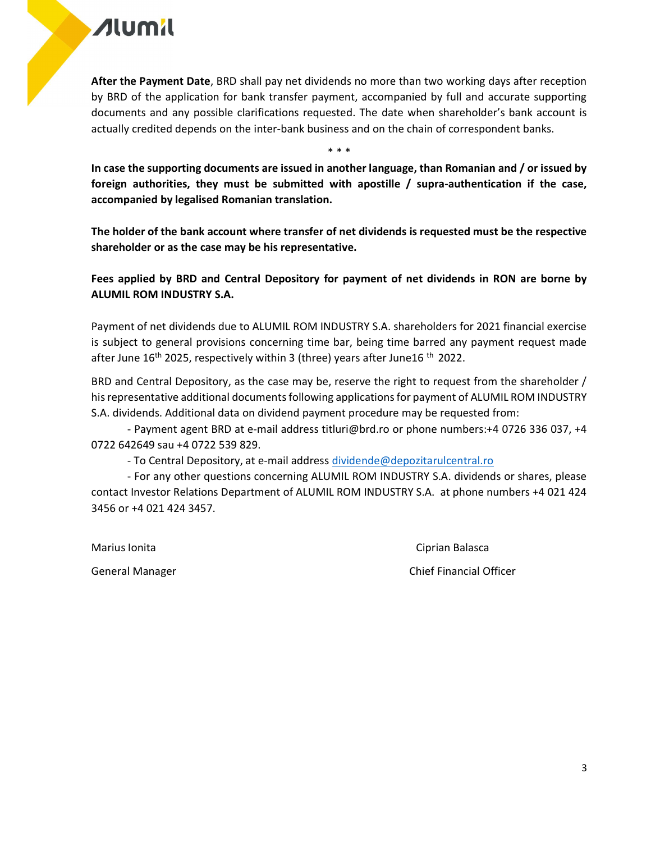

After the Payment Date, BRD shall pay net dividends no more than two working days after reception by BRD of the application for bank transfer payment, accompanied by full and accurate supporting documents and any possible clarifications requested. The date when shareholder's bank account is actually credited depends on the inter-bank business and on the chain of correspondent banks.

In case the supporting documents are issued in another language, than Romanian and / or issued by foreign authorities, they must be submitted with apostille / supra-authentication if the case, accompanied by legalised Romanian translation.

\* \* \*

The holder of the bank account where transfer of net dividends is requested must be the respective shareholder or as the case may be his representative.

Fees applied by BRD and Central Depository for payment of net dividends in RON are borne by ALUMIL ROM INDUSTRY S.A.

Payment of net dividends due to ALUMIL ROM INDUSTRY S.A. shareholders for 2021 financial exercise is subject to general provisions concerning time bar, being time barred any payment request made after June  $16<sup>th</sup>$  2025, respectively within 3 (three) years after June  $16<sup>th</sup>$  2022.

BRD and Central Depository, as the case may be, reserve the right to request from the shareholder / his representative additional documents following applications for payment of ALUMIL ROM INDUSTRY S.A. dividends. Additional data on dividend payment procedure may be requested from:

- Payment agent BRD at e-mail address titluri@brd.ro or phone numbers:+4 0726 336 037, +4 0722 642649 sau +4 0722 539 829.

- To Central Depository, at e-mail address dividende@depozitarulcentral.ro

- For any other questions concerning ALUMIL ROM INDUSTRY S.A. dividends or shares, please contact Investor Relations Department of ALUMIL ROM INDUSTRY S.A. at phone numbers +4 021 424 3456 or +4 021 424 3457.

General Manager Chief Financial Officer

Marius Ionita Ciprian Balasca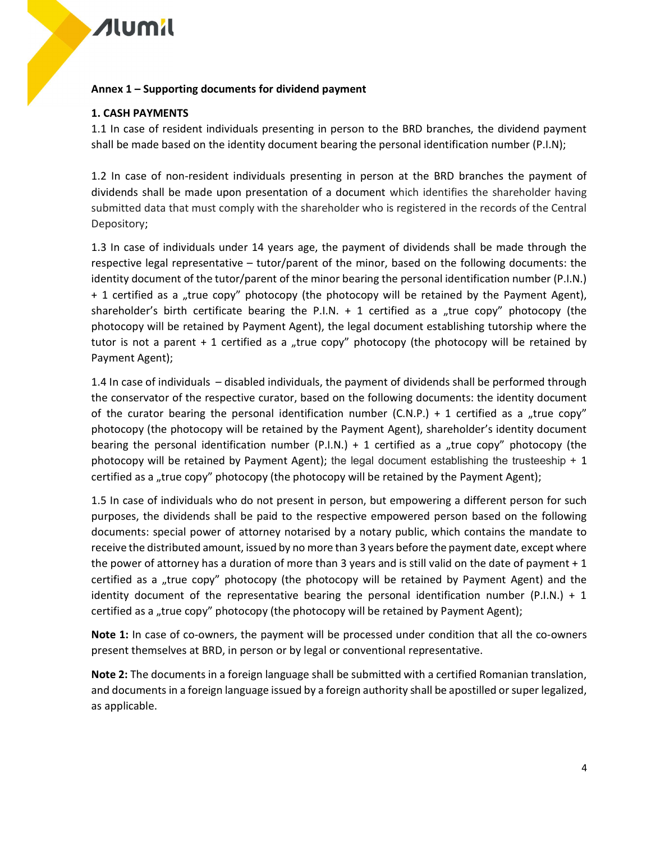## Annex 1 – Supporting documents for dividend payment

## 1. CASH PAYMENTS

1.1 In case of resident individuals presenting in person to the BRD branches, the dividend payment shall be made based on the identity document bearing the personal identification number (P.I.N);

1.2 In case of non-resident individuals presenting in person at the BRD branches the payment of dividends shall be made upon presentation of a document which identifies the shareholder having submitted data that must comply with the shareholder who is registered in the records of the Central Depository;

1.3 In case of individuals under 14 years age, the payment of dividends shall be made through the respective legal representative – tutor/parent of the minor, based on the following documents: the identity document of the tutor/parent of the minor bearing the personal identification number (P.I.N.) + 1 certified as a "true copy" photocopy (the photocopy will be retained by the Payment Agent), shareholder's birth certificate bearing the P.I.N.  $+$  1 certified as a "true copy" photocopy (the photocopy will be retained by Payment Agent), the legal document establishing tutorship where the tutor is not a parent  $+1$  certified as a "true copy" photocopy (the photocopy will be retained by Payment Agent);

1.4 In case of individuals – disabled individuals, the payment of dividends shall be performed through the conservator of the respective curator, based on the following documents: the identity document of the curator bearing the personal identification number (C.N.P.) + 1 certified as a "true copy" photocopy (the photocopy will be retained by the Payment Agent), shareholder's identity document bearing the personal identification number (P.I.N.) + 1 certified as a "true copy" photocopy (the photocopy will be retained by Payment Agent); the legal document establishing the trusteeship + 1 certified as a "true copy" photocopy (the photocopy will be retained by the Payment Agent);

1.5 In case of individuals who do not present in person, but empowering a different person for such purposes, the dividends shall be paid to the respective empowered person based on the following documents: special power of attorney notarised by a notary public, which contains the mandate to receive the distributed amount, issued by no more than 3 years before the payment date, except where the power of attorney has a duration of more than 3 years and is still valid on the date of payment + 1 certified as a "true copy" photocopy (the photocopy will be retained by Payment Agent) and the identity document of the representative bearing the personal identification number (P.I.N.) + 1 certified as a "true copy" photocopy (the photocopy will be retained by Payment Agent);

Note 1: In case of co-owners, the payment will be processed under condition that all the co-owners present themselves at BRD, in person or by legal or conventional representative.

Note 2: The documents in a foreign language shall be submitted with a certified Romanian translation, and documents in a foreign language issued by a foreign authority shall be apostilled or super legalized, as applicable.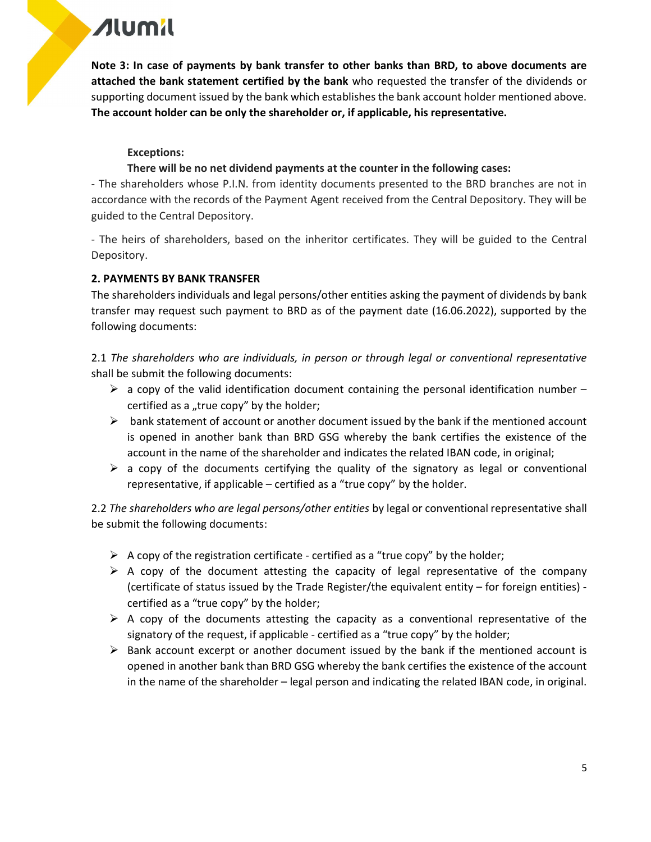Note 3: In case of payments by bank transfer to other banks than BRD, to above documents are attached the bank statement certified by the bank who requested the transfer of the dividends or supporting document issued by the bank which establishes the bank account holder mentioned above. The account holder can be only the shareholder or, if applicable, his representative.

## Exceptions:

## There will be no net dividend payments at the counter in the following cases:

- The shareholders whose P.I.N. from identity documents presented to the BRD branches are not in accordance with the records of the Payment Agent received from the Central Depository. They will be guided to the Central Depository.

- The heirs of shareholders, based on the inheritor certificates. They will be guided to the Central Depository.

## 2. PAYMENTS BY BANK TRANSFER

The shareholders individuals and legal persons/other entities asking the payment of dividends by bank transfer may request such payment to BRD as of the payment date (16.06.2022), supported by the following documents:

2.1 The shareholders who are individuals, in person or through legal or conventional representative shall be submit the following documents:

- $\triangleright$  a copy of the valid identification document containing the personal identification number certified as a "true copy" by the holder;
- $\triangleright$  bank statement of account or another document issued by the bank if the mentioned account is opened in another bank than BRD GSG whereby the bank certifies the existence of the account in the name of the shareholder and indicates the related IBAN code, in original;
- $\triangleright$  a copy of the documents certifying the quality of the signatory as legal or conventional representative, if applicable – certified as a "true copy" by the holder.

2.2 The shareholders who are legal persons/other entities by legal or conventional representative shall be submit the following documents:

- $\triangleright$  A copy of the registration certificate certified as a "true copy" by the holder;
- $\triangleright$  A copy of the document attesting the capacity of legal representative of the company (certificate of status issued by the Trade Register/the equivalent entity – for foreign entities) certified as a "true copy" by the holder;
- $\triangleright$  A copy of the documents attesting the capacity as a conventional representative of the signatory of the request, if applicable - certified as a "true copy" by the holder;
- $\triangleright$  Bank account excerpt or another document issued by the bank if the mentioned account is opened in another bank than BRD GSG whereby the bank certifies the existence of the account in the name of the shareholder – legal person and indicating the related IBAN code, in original.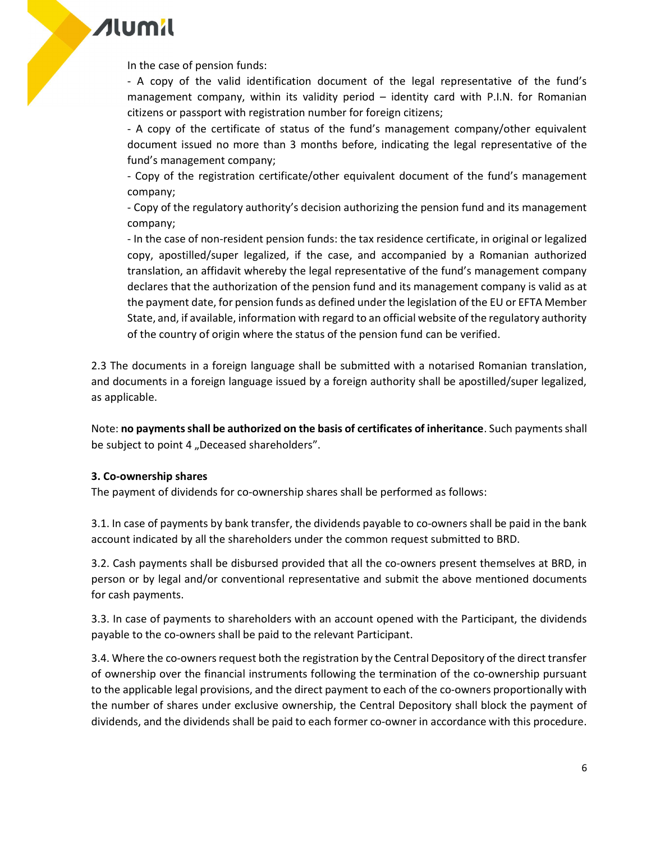# In the case of pension funds:

- A copy of the valid identification document of the legal representative of the fund's management company, within its validity period – identity card with P.I.N. for Romanian citizens or passport with registration number for foreign citizens;

- A copy of the certificate of status of the fund's management company/other equivalent document issued no more than 3 months before, indicating the legal representative of the fund's management company;

- Copy of the registration certificate/other equivalent document of the fund's management company;

- Copy of the regulatory authority's decision authorizing the pension fund and its management company;

- In the case of non-resident pension funds: the tax residence certificate, in original or legalized copy, apostilled/super legalized, if the case, and accompanied by a Romanian authorized translation, an affidavit whereby the legal representative of the fund's management company declares that the authorization of the pension fund and its management company is valid as at the payment date, for pension funds as defined under the legislation of the EU or EFTA Member State, and, if available, information with regard to an official website of the regulatory authority of the country of origin where the status of the pension fund can be verified.

2.3 The documents in a foreign language shall be submitted with a notarised Romanian translation, and documents in a foreign language issued by a foreign authority shall be apostilled/super legalized, as applicable.

Note: no payments shall be authorized on the basis of certificates of inheritance. Such payments shall be subject to point 4, Deceased shareholders".

## 3. Co-ownership shares

The payment of dividends for co-ownership shares shall be performed as follows:

3.1. In case of payments by bank transfer, the dividends payable to co-owners shall be paid in the bank account indicated by all the shareholders under the common request submitted to BRD.

3.2. Cash payments shall be disbursed provided that all the co-owners present themselves at BRD, in person or by legal and/or conventional representative and submit the above mentioned documents for cash payments.

3.3. In case of payments to shareholders with an account opened with the Participant, the dividends payable to the co-owners shall be paid to the relevant Participant.

3.4. Where the co-owners request both the registration by the Central Depository of the direct transfer of ownership over the financial instruments following the termination of the co-ownership pursuant to the applicable legal provisions, and the direct payment to each of the co-owners proportionally with the number of shares under exclusive ownership, the Central Depository shall block the payment of dividends, and the dividends shall be paid to each former co-owner in accordance with this procedure.